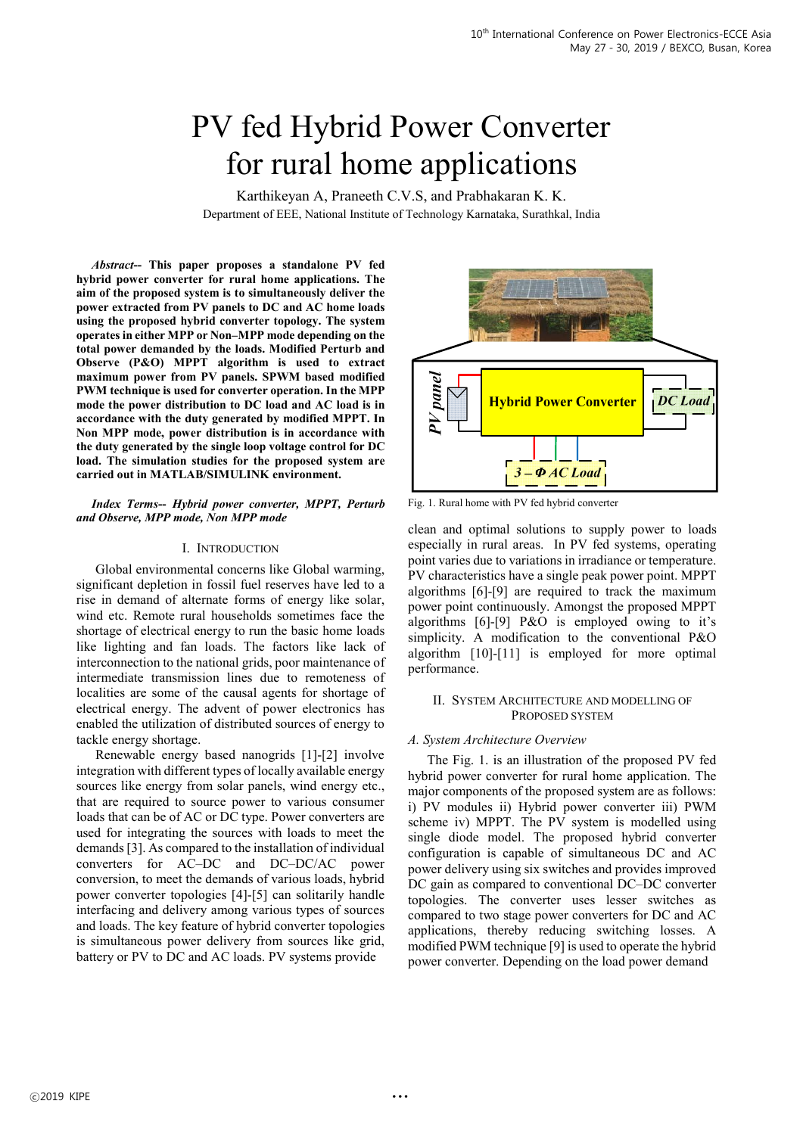# PV fed Hybrid Power Converter for rural home applications

Karthikeyan A, Praneeth C.V.S, and Prabhakaran K. K. Department of EEE, National Institute of Technology Karnataka, Surathkal, India

*Abstract***-- This paper proposes a standalone PV fed hybrid power converter for rural home applications. The aim of the proposed system is to simultaneously deliver the power extracted from PV panels to DC and AC home loads using the proposed hybrid converter topology. The system operates in either MPP or Non–MPP mode depending on the total power demanded by the loads. Modified Perturb and Observe (P&O) MPPT algorithm is used to extract maximum power from PV panels. SPWM based modified PWM technique is used for converter operation. In the MPP mode the power distribution to DC load and AC load is in accordance with the duty generated by modified MPPT. In Non MPP mode, power distribution is in accordance with the duty generated by the single loop voltage control for DC load. The simulation studies for the proposed system are carried out in MATLAB/SIMULINK environment.** 

*Index Terms***--** *Hybrid power converter, MPPT, Perturb and Observe, MPP mode, Non MPP mode*

## I. INTRODUCTION

Global environmental concerns like Global warming, significant depletion in fossil fuel reserves have led to a rise in demand of alternate forms of energy like solar, wind etc. Remote rural households sometimes face the shortage of electrical energy to run the basic home loads like lighting and fan loads. The factors like lack of interconnection to the national grids, poor maintenance of intermediate transmission lines due to remoteness of localities are some of the causal agents for shortage of electrical energy. The advent of power electronics has enabled the utilization of distributed sources of energy to tackle energy shortage.

Renewable energy based nanogrids [1]-[2] involve integration with different types of locally available energy sources like energy from solar panels, wind energy etc., that are required to source power to various consumer loads that can be of AC or DC type. Power converters are used for integrating the sources with loads to meet the demands [3]. As compared to the installation of individual converters for AC–DC and DC–DC/AC power conversion, to meet the demands of various loads, hybrid power converter topologies [4]-[5] can solitarily handle interfacing and delivery among various types of sources and loads. The key feature of hybrid converter topologies is simultaneous power delivery from sources like grid, battery or PV to DC and AC loads. PV systems provide



Fig. 1. Rural home with PV fed hybrid converter

clean and optimal solutions to supply power to loads especially in rural areas. In PV fed systems, operating point varies due to variations in irradiance or temperature. PV characteristics have a single peak power point. MPPT algorithms [6]-[9] are required to track the maximum power point continuously. Amongst the proposed MPPT algorithms [6]-[9] P&O is employed owing to it's simplicity. A modification to the conventional P&O algorithm [10]-[11] is employed for more optimal performance.

## II. SYSTEM ARCHITECTURE AND MODELLING OF PROPOSED SYSTEM

## *A. System Architecture Overview*

The Fig. 1. is an illustration of the proposed PV fed hybrid power converter for rural home application. The major components of the proposed system are as follows: i) PV modules ii) Hybrid power converter iii) PWM scheme iv) MPPT. The PV system is modelled using single diode model. The proposed hybrid converter configuration is capable of simultaneous DC and AC power delivery using six switches and provides improved DC gain as compared to conventional DC–DC converter topologies. The converter uses lesser switches as compared to two stage power converters for DC and AC applications, thereby reducing switching losses. A modified PWM technique [9] is used to operate the hybrid power converter. Depending on the load power demand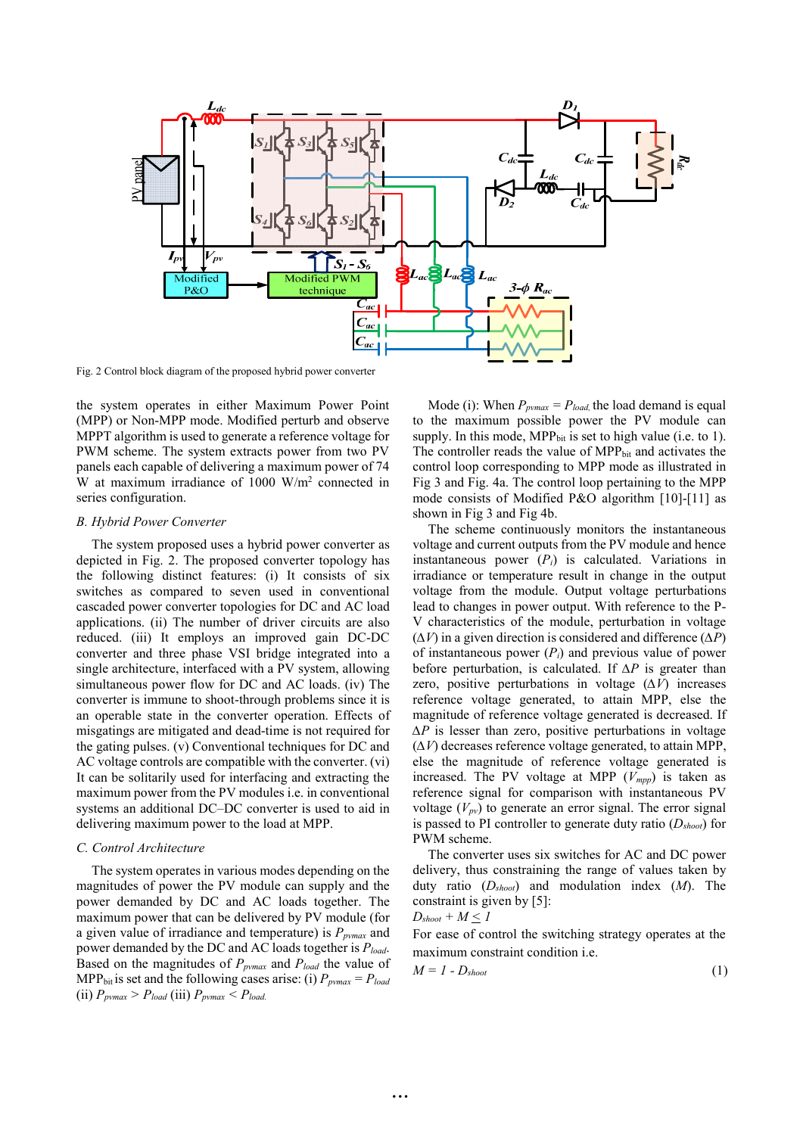

Fig. 2 Control block diagram of the proposed hybrid power converter

the system operates in either Maximum Power Point (MPP) or Non-MPP mode. Modified perturb and observe MPPT algorithm is used to generate a reference voltage for PWM scheme. The system extracts power from two PV panels each capable of delivering a maximum power of 74 W at maximum irradiance of  $1000 \text{ W/m}^2$  connected in series configuration.

## *B. Hybrid Power Converter*

The system proposed uses a hybrid power converter as depicted in Fig. 2. The proposed converter topology has the following distinct features: (i) It consists of six switches as compared to seven used in conventional cascaded power converter topologies for DC and AC load applications. (ii) The number of driver circuits are also reduced. (iii) It employs an improved gain DC-DC converter and three phase VSI bridge integrated into a single architecture, interfaced with a PV system, allowing simultaneous power flow for DC and AC loads. (iv) The converter is immune to shoot-through problems since it is an operable state in the converter operation. Effects of misgatings are mitigated and dead-time is not required for the gating pulses. (v) Conventional techniques for DC and AC voltage controls are compatible with the converter. (vi) It can be solitarily used for interfacing and extracting the maximum power from the PV modules i.e. in conventional systems an additional DC–DC converter is used to aid in delivering maximum power to the load at MPP.

# *C. Control Architecture*

The system operates in various modes depending on the magnitudes of power the PV module can supply and the power demanded by DC and AC loads together. The maximum power that can be delivered by PV module (for a given value of irradiance and temperature) is *Ppvmax* and power demanded by the DC and AC loads together is *Pload*. Based on the magnitudes of *Ppvmax* and *Pload* the value of MPP<sub>bit</sub> is set and the following cases arise: (i)  $P_{\text{pvmax}} = P_{\text{load}}$ (ii)  $P_{pvmax} > P_{load}$  (iii)  $P_{pvmax} < P_{load}$ 

Mode (i): When  $P_{pvmax} = P_{load}$ , the load demand is equal to the maximum possible power the PV module can supply. In this mode,  $MPP_{bit}$  is set to high value (i.e. to 1). The controller reads the value of MPP<sub>bit</sub> and activates the control loop corresponding to MPP mode as illustrated in Fig 3 and Fig. 4a. The control loop pertaining to the MPP mode consists of Modified P&O algorithm [10]-[11] as shown in Fig 3 and Fig 4b.

The scheme continuously monitors the instantaneous voltage and current outputs from the PV module and hence instantaneous power  $(P_i)$  is calculated. Variations in irradiance or temperature result in change in the output voltage from the module. Output voltage perturbations lead to changes in power output. With reference to the P-V characteristics of the module, perturbation in voltage  $(\Delta V)$  in a given direction is considered and difference  $(\Delta P)$ of instantaneous power (*Pi*) and previous value of power before perturbation, is calculated. If  $\Delta P$  is greater than zero, positive perturbations in voltage  $(\Delta V)$  increases reference voltage generated, to attain MPP, else the magnitude of reference voltage generated is decreased. If  $\Delta P$  is lesser than zero, positive perturbations in voltage  $(\Delta V)$  decreases reference voltage generated, to attain MPP, else the magnitude of reference voltage generated is increased. The PV voltage at MPP  $(V_{m\nu\nu})$  is taken as reference signal for comparison with instantaneous PV voltage  $(V_{pv})$  to generate an error signal. The error signal is passed to PI controller to generate duty ratio (*Dshoot*) for PWM scheme.

The converter uses six switches for AC and DC power delivery, thus constraining the range of values taken by duty ratio (*Dshoot*) and modulation index (*M*). The constraint is given by [5]: *Dshoot + M < 1* 

$$
D_{\text{shoot}} + M \leq I
$$

For ease of control the switching strategy operates at the maximum constraint condition i.e.

$$
M = I - D_{\text{shoot}} \tag{1}
$$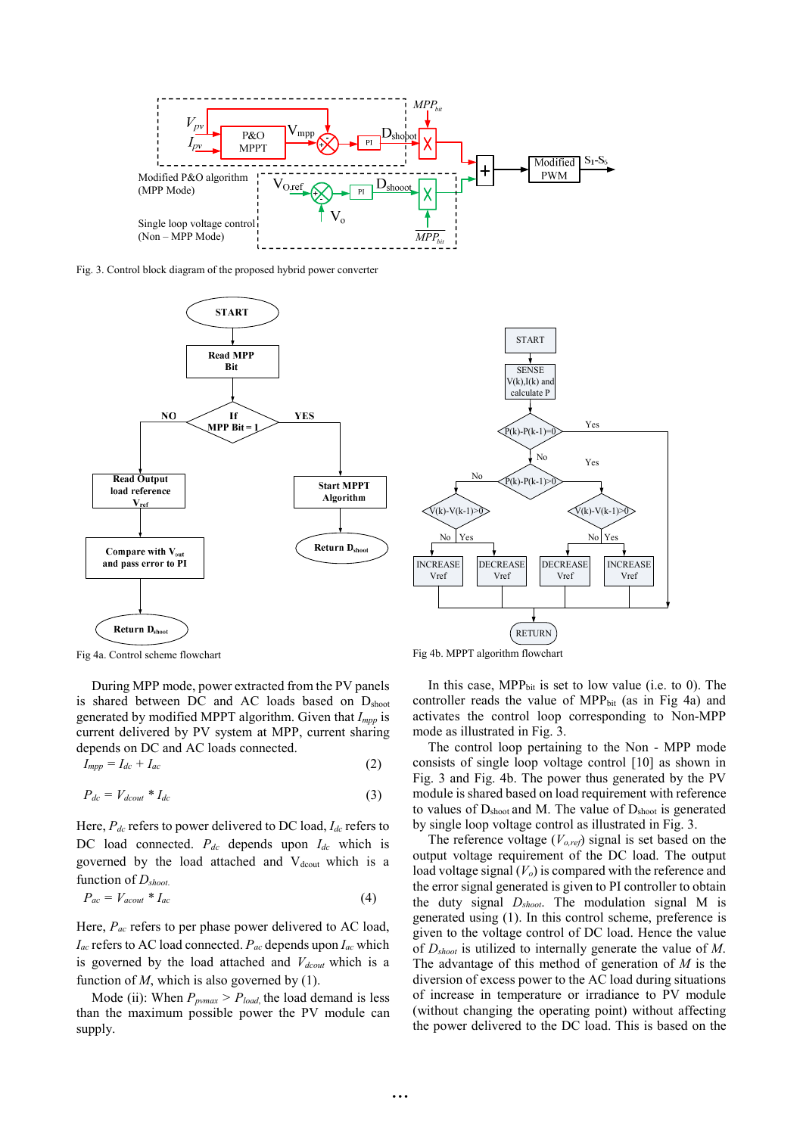

Fig. 3. Control block diagram of the proposed hybrid power converter



Fig 4a. Control scheme flowchart

During MPP mode, power extracted from the PV panels is shared between DC and AC loads based on D<sub>shoot</sub> generated by modified MPPT algorithm. Given that *Impp* is current delivered by PV system at MPP, current sharing depends on DC and AC loads connected.

$$
I_{mpp} = I_{dc} + I_{ac} \tag{2}
$$

$$
P_{dc} = V_{dcout} * I_{dc} \tag{3}
$$

Here, *Pdc* refers to power delivered to DC load, *Idc* refers to DC load connected.  $P_{dc}$  depends upon  $I_{dc}$  which is governed by the load attached and V<sub>dcout</sub> which is a function of *Dshoot*.

$$
P_{ac} = V_{acout} * I_{ac} \tag{4}
$$

Here, *Pac* refers to per phase power delivered to AC load, *Iac* refers to AC load connected. *Pac* depends upon *Iac* which is governed by the load attached and *Vdcout* which is a function of  $M$ , which is also governed by  $(1)$ .

Mode (ii): When  $P_{pvmax} > P_{load}$ , the load demand is less than the maximum possible power the PV module can supply.

Fig 4b. MPPT algorithm flowchart

In this case,  $MPP_{bit}$  is set to low value (i.e. to 0). The controller reads the value of  $MPP_{bit}$  (as in Fig 4a) and activates the control loop corresponding to Non-MPP mode as illustrated in Fig. 3.

The control loop pertaining to the Non - MPP mode consists of single loop voltage control [10] as shown in Fig. 3 and Fig. 4b. The power thus generated by the PV module is shared based on load requirement with reference to values of  $D_{\text{shoot}}$  and M. The value of  $D_{\text{shoot}}$  is generated by single loop voltage control as illustrated in Fig. 3.

The reference voltage (*Vo,ref*) signal is set based on the output voltage requirement of the DC load. The output load voltage signal ( $V<sub>o</sub>$ ) is compared with the reference and the error signal generated is given to PI controller to obtain the duty signal *Dshoot*. The modulation signal M is generated using (1). In this control scheme, preference is given to the voltage control of DC load. Hence the value of *Dshoot* is utilized to internally generate the value of *M*. The advantage of this method of generation of *M* is the diversion of excess power to the AC load during situations of increase in temperature or irradiance to PV module (without changing the operating point) without affecting the power delivered to the DC load. This is based on the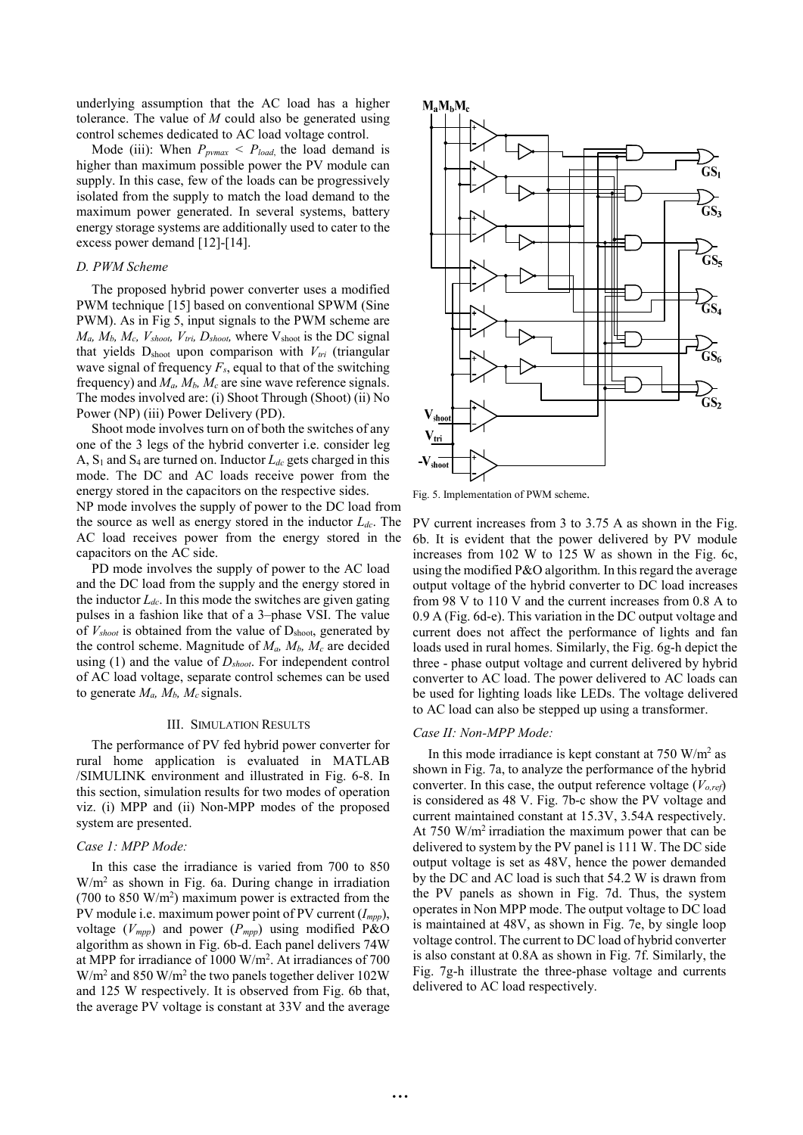underlying assumption that the AC load has a higher tolerance. The value of *M* could also be generated using control schemes dedicated to AC load voltage control.

Mode (iii): When  $P_{\text{pvmax}} < P_{\text{load}}$ , the load demand is higher than maximum possible power the PV module can supply. In this case, few of the loads can be progressively isolated from the supply to match the load demand to the maximum power generated. In several systems, battery energy storage systems are additionally used to cater to the excess power demand [12]-[14].

### *D. PWM Scheme*

The proposed hybrid power converter uses a modified PWM technique [15] based on conventional SPWM (Sine PWM). As in Fig 5, input signals to the PWM scheme are  $M_a$ ,  $M_b$ ,  $M_c$ ,  $V_{shoot}$ ,  $V_{tri}$ ,  $D_{shoot}$ , where  $V_{shoot}$  is the DC signal that yields  $D_{\text{shoot}}$  upon comparison with  $V_{tri}$  (triangular wave signal of frequency  $F_s$ , equal to that of the switching frequency) and  $M_a$ ,  $M_b$ ,  $M_c$  are sine wave reference signals. The modes involved are: (i) Shoot Through (Shoot) (ii) No Power (NP) (iii) Power Delivery (PD).

Shoot mode involves turn on of both the switches of any one of the 3 legs of the hybrid converter i.e. consider leg A,  $S_1$  and  $S_4$  are turned on. Inductor  $L_{dc}$  gets charged in this mode. The DC and AC loads receive power from the energy stored in the capacitors on the respective sides.

NP mode involves the supply of power to the DC load from the source as well as energy stored in the inductor *Ldc*. The AC load receives power from the energy stored in the capacitors on the AC side.

PD mode involves the supply of power to the AC load and the DC load from the supply and the energy stored in the inductor  $L_{dc}$ . In this mode the switches are given gating pulses in a fashion like that of a 3–phase VSI. The value of  $V_{\text{shoot}}$  is obtained from the value of  $D_{\text{shoot}}$ , generated by the control scheme. Magnitude of  $M_a$ ,  $M_b$ ,  $M_c$  are decided using (1) and the value of *Dshoot*. For independent control of AC load voltage, separate control schemes can be used to generate  $M_a$ ,  $M_b$ ,  $M_c$  signals.

#### III. SIMULATION RESULTS

The performance of PV fed hybrid power converter for rural home application is evaluated in MATLAB /SIMULINK environment and illustrated in Fig. 6-8. In this section, simulation results for two modes of operation viz. (i) MPP and (ii) Non-MPP modes of the proposed system are presented.

### *Case 1: MPP Mode:*

In this case the irradiance is varied from 700 to 850 W/m2 as shown in Fig. 6a. During change in irradiation (700 to 850  $W/m<sup>2</sup>$ ) maximum power is extracted from the PV module i.e. maximum power point of PV current (*Impp*), voltage  $(V_{mpp})$  and power  $(P_{mpp})$  using modified P&O algorithm as shown in Fig. 6b-d. Each panel delivers 74W at MPP for irradiance of 1000 W/m2 . At irradiances of 700  $W/m^2$  and 850 W/m<sup>2</sup> the two panels together deliver 102W and 125 W respectively. It is observed from Fig. 6b that, the average PV voltage is constant at 33V and the average



Fig. 5. Implementation of PWM scheme.

PV current increases from 3 to 3.75 A as shown in the Fig. 6b. It is evident that the power delivered by PV module increases from 102 W to 125 W as shown in the Fig. 6c, using the modified P&O algorithm. In this regard the average output voltage of the hybrid converter to DC load increases from 98 V to 110 V and the current increases from 0.8 A to 0.9 A (Fig. 6d-e). This variation in the DC output voltage and current does not affect the performance of lights and fan loads used in rural homes. Similarly, the Fig. 6g-h depict the three - phase output voltage and current delivered by hybrid converter to AC load. The power delivered to AC loads can be used for lighting loads like LEDs. The voltage delivered to AC load can also be stepped up using a transformer.

#### *Case II: Non-MPP Mode:*

In this mode irradiance is kept constant at  $750 \text{ W/m}^2$  as shown in Fig. 7a, to analyze the performance of the hybrid converter. In this case, the output reference voltage  $(V<sub>o,ref</sub>)$ is considered as 48 V. Fig. 7b-c show the PV voltage and current maintained constant at 15.3V, 3.54A respectively. At 750 W/m2 irradiation the maximum power that can be delivered to system by the PV panel is 111 W. The DC side output voltage is set as 48V, hence the power demanded by the DC and AC load is such that 54.2 W is drawn from the PV panels as shown in Fig. 7d. Thus, the system operates in Non MPP mode. The output voltage to DC load is maintained at 48V, as shown in Fig. 7e, by single loop voltage control. The current to DC load of hybrid converter is also constant at 0.8A as shown in Fig. 7f. Similarly, the Fig. 7g-h illustrate the three-phase voltage and currents delivered to AC load respectively.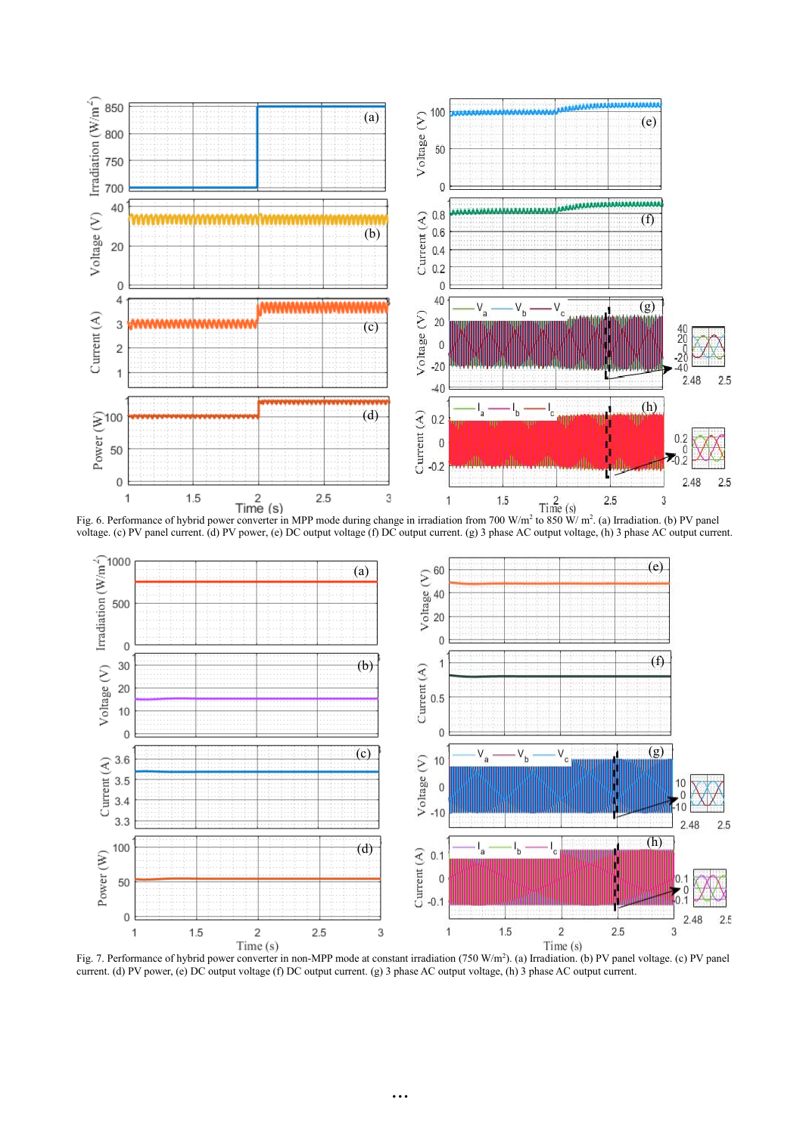

Fig. 6. Performance of hybrid power converter in MPP mode during change in irradiation from 700 W/m<sup>2</sup> to 850 W/m<sup>2</sup>. (a) Irradiation. (b) PV panel voltage. (c) PV panel current. (d) PV power, (e) DC output voltage (f) DC output current. (g) 3 phase AC output voltage, (h) 3 phase AC output current.



Fig. 7. Performance of hybrid power converter in non-MPP mode at constant irradiation (750 W/m<sup>2</sup>). (a) Irradiation. (b) PV panel voltage. (c) PV panel current. (d) PV power, (e) DC output voltage (f) DC output current. (g) 3 phase AC output voltage, (h) 3 phase AC output current.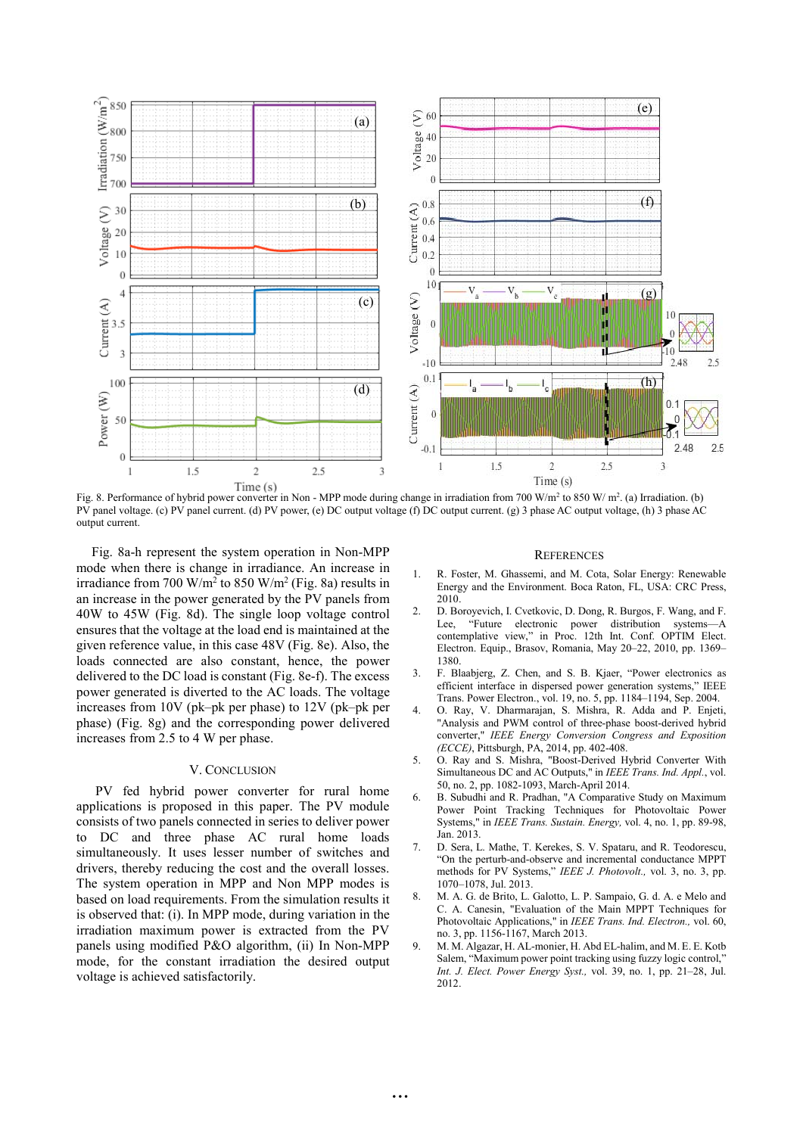

Fig. 8. Performance of hybrid power converter in Non - MPP mode during change in irradiation from 700 W/m<sup>2</sup> to 850 W/ m<sup>2</sup>. (a) Irradiation. (b) PV panel voltage. (c) PV panel current. (d) PV power, (e) DC output voltage (f) DC output current. (g) 3 phase AC output voltage, (h) 3 phase AC output current.

Fig. 8a-h represent the system operation in Non-MPP mode when there is change in irradiance. An increase in irradiance from 700 W/m<sup>2</sup> to 850 W/m<sup>2</sup> (Fig. 8a) results in an increase in the power generated by the PV panels from 40W to 45W (Fig. 8d). The single loop voltage control ensures that the voltage at the load end is maintained at the given reference value, in this case 48V (Fig. 8e). Also, the loads connected are also constant, hence, the power delivered to the DC load is constant (Fig. 8e-f). The excess power generated is diverted to the AC loads. The voltage increases from 10V (pk–pk per phase) to 12V (pk–pk per phase) (Fig. 8g) and the corresponding power delivered increases from 2.5 to 4 W per phase.

## V. CONCLUSION

PV fed hybrid power converter for rural home applications is proposed in this paper. The PV module consists of two panels connected in series to deliver power to DC and three phase AC rural home loads simultaneously. It uses lesser number of switches and drivers, thereby reducing the cost and the overall losses. The system operation in MPP and Non MPP modes is based on load requirements. From the simulation results it is observed that: (i). In MPP mode, during variation in the irradiation maximum power is extracted from the PV panels using modified P&O algorithm, (ii) In Non-MPP mode, for the constant irradiation the desired output voltage is achieved satisfactorily.

#### **REFERENCES**

- 1. R. Foster, M. Ghassemi, and M. Cota, Solar Energy: Renewable Energy and the Environment. Boca Raton, FL, USA: CRC Press, 2010.
- 2. D. Boroyevich, I. Cvetkovic, D. Dong, R. Burgos, F. Wang, and F. Lee, "Future electronic power distribution systems—A contemplative view," in Proc. 12th Int. Conf. OPTIM Elect. Electron. Equip., Brasov, Romania, May 20–22, 2010, pp. 1369– 1380.
- 3. F. Blaabjerg, Z. Chen, and S. B. Kjaer, "Power electronics as efficient interface in dispersed power generation systems," IEEE Trans. Power Electron., vol. 19, no. 5, pp. 1184–1194, Sep. 2004.
- 4. O. Ray, V. Dharmarajan, S. Mishra, R. Adda and P. Enjeti, "Analysis and PWM control of three-phase boost-derived hybrid converter," *IEEE Energy Conversion Congress and Exposition (ECCE)*, Pittsburgh, PA, 2014, pp. 402-408.
- 5. O. Ray and S. Mishra, "Boost-Derived Hybrid Converter With Simultaneous DC and AC Outputs," in *IEEE Trans. Ind. Appl.*, vol. 50, no. 2, pp. 1082-1093, March-April 2014.
- 6. B. Subudhi and R. Pradhan, "A Comparative Study on Maximum Power Point Tracking Techniques for Photovoltaic Power Systems," in *IEEE Trans. Sustain. Energy,* vol. 4, no. 1, pp. 89-98, Jan. 2013.
- 7. D. Sera, L. Mathe, T. Kerekes, S. V. Spataru, and R. Teodorescu, "On the perturb-and-observe and incremental conductance MPPT methods for PV Systems," *IEEE J. Photovolt.,* vol. 3, no. 3, pp. 1070–1078, Jul. 2013.
- 8. M. A. G. de Brito, L. Galotto, L. P. Sampaio, G. d. A. e Melo and C. A. Canesin, "Evaluation of the Main MPPT Techniques for Photovoltaic Applications," in *IEEE Trans. Ind. Electron.,* vol. 60, no. 3, pp. 1156-1167, March 2013.
- 9. M. M. Algazar, H. AL-monier, H. Abd EL-halim, and M. E. E. Kotb Salem, "Maximum power point tracking using fuzzy logic control," *Int. J. Elect. Power Energy Syst.,* vol. 39, no. 1, pp. 21–28, Jul. 2012.